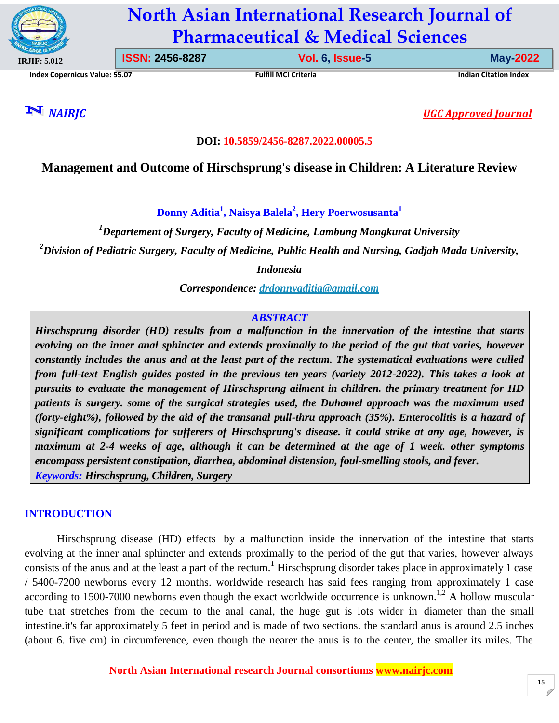

# **North Asian International Research Journal of Pharmaceutical & Medical Sciences**

**Index Copernicus Value: 55.07 Fulfill MCI Criteria Indian Citation Index**

**ISSN: 2456-8287 Vol. 6, Issue-5 May-2022**

*NAIRJC UGC Approved Journal*

#### **DOI: 10.5859/2456-8287.2022.00005.5**

# **Management and Outcome of Hirschsprung's disease in Children: A Literature Review**

**Donny Aditia<sup>1</sup> , Naisya Balela<sup>2</sup> , Hery Poerwosusanta<sup>1</sup>**

*<sup>1</sup>Departement of Surgery, Faculty of Medicine, Lambung Mangkurat University <sup>2</sup>Division of Pediatric Surgery, Faculty of Medicine, Public Health and Nursing, Gadjah Mada University,*

*Indonesia*

*Correspondence: [drdonnyaditia@gmail.com](mailto:drdonnyaditia@gmail.com)*

# *ABSTRACT*

*Hirschsprung disorder (HD) results from a malfunction in the innervation of the intestine that starts evolving on the inner anal sphincter and extends proximally to the period of the gut that varies, however constantly includes the anus and at the least part of the rectum. The systematical evaluations were culled from full-text English guides posted in the previous ten years (variety 2012-2022). This takes a look at pursuits to evaluate the management of Hirschsprung ailment in children. the primary treatment for HD patients is surgery. some of the surgical strategies used, the Duhamel approach was the maximum used (forty-eight%), followed by the aid of the transanal pull-thru approach (35%). Enterocolitis is a hazard of significant complications for sufferers of Hirschsprung's disease. it could strike at any age, however, is maximum at 2-4 weeks of age, although it can be determined at the age of 1 week. other symptoms encompass persistent constipation, diarrhea, abdominal distension, foul-smelling stools, and fever. Keywords: Hirschsprung, Children, Surgery*

#### **INTRODUCTION**

Hirschsprung disease (HD) effects by a malfunction inside the innervation of the intestine that starts evolving at the inner anal sphincter and extends proximally to the period of the gut that varies, however always consists of the anus and at the least a part of the rectum.<sup>1</sup> Hirschsprung disorder takes place in approximately 1 case / 5400-7200 newborns every 12 months. worldwide research has said fees ranging from approximately 1 case according to 1500-7000 newborns even though the exact worldwide occurrence is unknown.<sup>1,2</sup> A hollow muscular tube that stretches from the cecum to the anal canal, the huge gut is lots wider in diameter than the small intestine.it's far approximately 5 feet in period and is made of two sections. the standard anus is around 2.5 inches (about 6. five cm) in circumference, even though the nearer the anus is to the center, the smaller its miles. The

**North Asian International research Journal consortiums [www.nairjc.com](http://www.nairjc.com/)**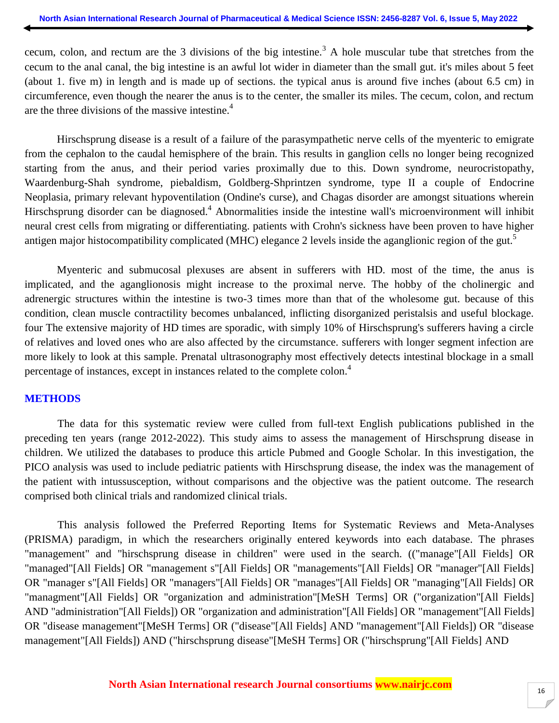cecum, colon, and rectum are the 3 divisions of the big intestine.<sup>3</sup> A hole muscular tube that stretches from the cecum to the anal canal, the big intestine is an awful lot wider in diameter than the small gut. it's miles about 5 feet (about 1. five m) in length and is made up of sections. the typical anus is around five inches (about 6.5 cm) in circumference, even though the nearer the anus is to the center, the smaller its miles. The cecum, colon, and rectum are the three divisions of the massive intestine.<sup>4</sup>

Hirschsprung disease is a result of a failure of the parasympathetic nerve cells of the myenteric to emigrate from the cephalon to the caudal hemisphere of the brain. This results in ganglion cells no longer being recognized starting from the anus, and their period varies proximally due to this. Down syndrome, neurocristopathy, Waardenburg-Shah syndrome, piebaldism, Goldberg-Shprintzen syndrome, type II a couple of Endocrine Neoplasia, primary relevant hypoventilation (Ondine's curse), and Chagas disorder are amongst situations wherein Hirschsprung disorder can be diagnosed.<sup>4</sup> Abnormalities inside the intestine wall's microenvironment will inhibit neural crest cells from migrating or differentiating. patients with Crohn's sickness have been proven to have higher antigen major histocompatibility complicated (MHC) elegance 2 levels inside the aganglionic region of the gut.<sup>5</sup>

Myenteric and submucosal plexuses are absent in sufferers with HD. most of the time, the anus is implicated, and the aganglionosis might increase to the proximal nerve. The hobby of the cholinergic and adrenergic structures within the intestine is two-3 times more than that of the wholesome gut. because of this condition, clean muscle contractility becomes unbalanced, inflicting disorganized peristalsis and useful blockage. four The extensive majority of HD times are sporadic, with simply 10% of Hirschsprung's sufferers having a circle of relatives and loved ones who are also affected by the circumstance. sufferers with longer segment infection are more likely to look at this sample. Prenatal ultrasonography most effectively detects intestinal blockage in a small percentage of instances, except in instances related to the complete colon.<sup>4</sup>

#### **METHODS**

The data for this systematic review were culled from full-text English publications published in the preceding ten years (range 2012-2022). This study aims to assess the management of Hirschsprung disease in children. We utilized the databases to produce this article Pubmed and Google Scholar. In this investigation, the PICO analysis was used to include pediatric patients with Hirschsprung disease, the index was the management of the patient with intussusception, without comparisons and the objective was the patient outcome. The research comprised both clinical trials and randomized clinical trials.

This analysis followed the Preferred Reporting Items for Systematic Reviews and Meta-Analyses (PRISMA) paradigm, in which the researchers originally entered keywords into each database. The phrases "management" and "hirschsprung disease in children" were used in the search. (("manage"[All Fields] OR "managed"[All Fields] OR "management s"[All Fields] OR "managements"[All Fields] OR "manager"[All Fields] OR "manager s"[All Fields] OR "managers"[All Fields] OR "manages"[All Fields] OR "managing"[All Fields] OR "managment"[All Fields] OR "organization and administration"[MeSH Terms] OR ("organization"[All Fields] AND "administration"[All Fields]) OR "organization and administration"[All Fields] OR "management"[All Fields] OR "disease management"[MeSH Terms] OR ("disease"[All Fields] AND "management"[All Fields]) OR "disease management"[All Fields]) AND ("hirschsprung disease"[MeSH Terms] OR ("hirschsprung"[All Fields] AND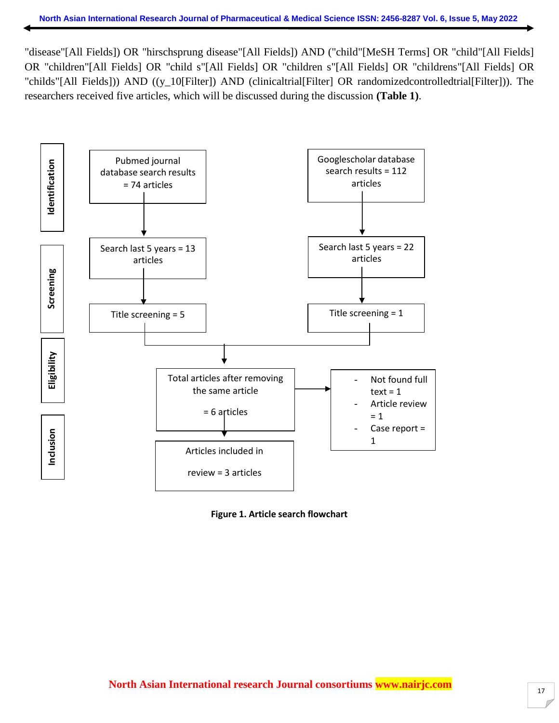"disease"[All Fields]) OR "hirschsprung disease"[All Fields]) AND ("child"[MeSH Terms] OR "child"[All Fields] OR "children"[All Fields] OR "child s"[All Fields] OR "children s"[All Fields] OR "childrens"[All Fields] OR "childs"[All Fields])) AND ((y\_10[Filter]) AND (clinicaltrial[Filter] OR randomizedcontrolledtrial[Filter])). The researchers received five articles, which will be discussed during the discussion **(Table 1)**.



**Figure 1. Article search flowchart**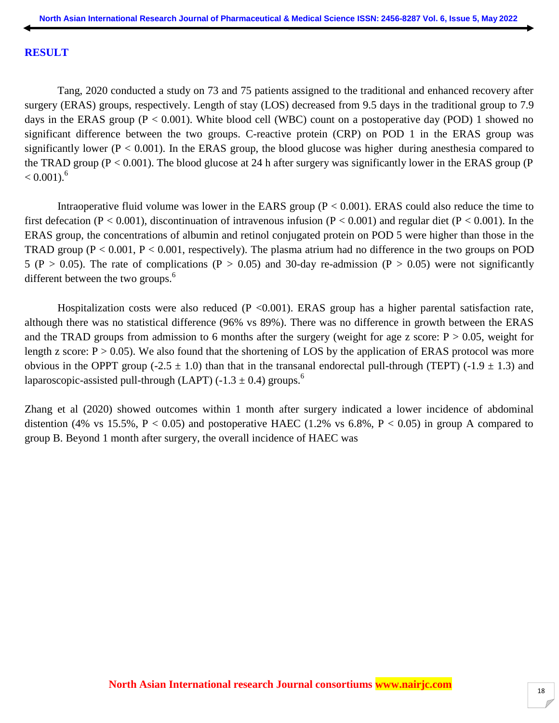#### **RESULT**

Tang, 2020 conducted a study on 73 and 75 patients assigned to the traditional and enhanced recovery after surgery (ERAS) groups, respectively. Length of stay (LOS) decreased from 9.5 days in the traditional group to 7.9 days in the ERAS group ( $P < 0.001$ ). White blood cell (WBC) count on a postoperative day (POD) 1 showed no significant difference between the two groups. C-reactive protein (CRP) on POD 1 in the ERAS group was significantly lower ( $P < 0.001$ ). In the ERAS group, the blood glucose was higher during anesthesia compared to the TRAD group ( $P < 0.001$ ). The blood glucose at 24 h after surgery was significantly lower in the ERAS group ( $P$  $< 0.001$ .<sup>6</sup>

Intraoperative fluid volume was lower in the EARS group  $(P < 0.001)$ . ERAS could also reduce the time to first defecation (P < 0.001), discontinuation of intravenous infusion (P < 0.001) and regular diet (P < 0.001). In the ERAS group, the concentrations of albumin and retinol conjugated protein on POD 5 were higher than those in the TRAD group ( $P < 0.001$ ,  $P < 0.001$ , respectively). The plasma atrium had no difference in the two groups on POD 5 (P > 0.05). The rate of complications (P > 0.05) and 30-day re-admission (P > 0.05) were not significantly different between the two groups. $<sup>6</sup>$ </sup>

Hospitalization costs were also reduced  $(P \le 0.001)$ . ERAS group has a higher parental satisfaction rate, although there was no statistical difference (96% vs 89%). There was no difference in growth between the ERAS and the TRAD groups from admission to 6 months after the surgery (weight for age z score:  $P > 0.05$ , weight for length z score:  $P > 0.05$ ). We also found that the shortening of LOS by the application of ERAS protocol was more obvious in the OPPT group (-2.5  $\pm$  1.0) than that in the transanal endorectal pull-through (TEPT) (-1.9  $\pm$  1.3) and laparoscopic-assisted pull-through (LAPT) (-1.3  $\pm$  0.4) groups.<sup>6</sup>

Zhang et al (2020) showed outcomes within 1 month after surgery indicated a lower incidence of abdominal distention (4% vs 15.5%,  $P < 0.05$ ) and postoperative HAEC (1.2% vs 6.8%,  $P < 0.05$ ) in group A compared to group B. Beyond 1 month after surgery, the overall incidence of HAEC was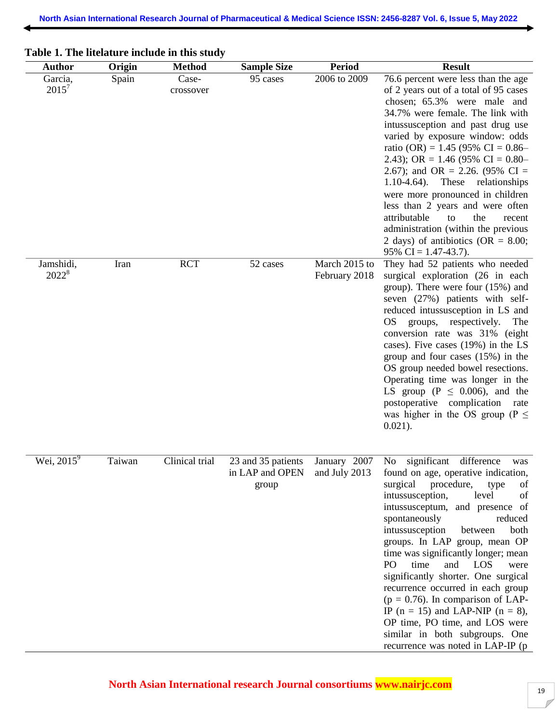| <b>Author</b>         | Origin | <b>Method</b>      | <b>Sample Size</b>                             | <b>Period</b>                  | <b>Result</b>                                                                                                                                                                                                                                                                                                                                                                                                                                                                                                                                                                                                                                |
|-----------------------|--------|--------------------|------------------------------------------------|--------------------------------|----------------------------------------------------------------------------------------------------------------------------------------------------------------------------------------------------------------------------------------------------------------------------------------------------------------------------------------------------------------------------------------------------------------------------------------------------------------------------------------------------------------------------------------------------------------------------------------------------------------------------------------------|
| Garcia,<br>$2015^7$   | Spain  | Case-<br>crossover | 95 cases                                       | 2006 to 2009                   | 76.6 percent were less than the age<br>of 2 years out of a total of 95 cases<br>chosen; 65.3% were male and<br>34.7% were female. The link with<br>intussusception and past drug use<br>varied by exposure window: odds<br>ratio (OR) = $1.45$ (95% CI = 0.86–<br>2.43); OR = 1.46 (95% CI = $0.80-$<br>2.67); and OR = 2.26. (95% CI =<br>$1.10-4.64$ ).<br>These<br>relationships<br>were more pronounced in children<br>less than 2 years and were often<br>attributable<br>the<br>to<br>recent<br>administration (within the previous<br>2 days) of antibiotics (OR = $8.00$ ;<br>95% CI = $1.47-43.7$ ).                                |
| Jamshidi,<br>$2022^8$ | Iran   | <b>RCT</b>         | 52 cases                                       | March 2015 to<br>February 2018 | They had 52 patients who needed<br>surgical exploration (26 in each<br>group). There were four (15%) and<br>seven (27%) patients with self-<br>reduced intussusception in LS and<br><b>OS</b><br>respectively.<br>groups,<br>The<br>conversion rate was 31% (eight<br>cases). Five cases (19%) in the LS<br>group and four cases $(15%)$ in the<br>OS group needed bowel resections.<br>Operating time was longer in the<br>LS group ( $P \leq 0.006$ ), and the<br>postoperative complication<br>rate<br>was higher in the OS group ( $P \leq$<br>$0.021$ ).                                                                                |
| Wei, $2015^9$         | Taiwan | Clinical trial     | 23 and 35 patients<br>in LAP and OPEN<br>group | January 2007<br>and July 2013  | significant<br>difference<br>No<br>was<br>found on age, operative indication,<br>surgical procedure,<br>type<br>of<br>intussusception,<br>level<br>of<br>intussusceptum, and presence of<br>spontaneously<br>reduced<br>intussusception<br>both<br>between<br>groups. In LAP group, mean OP<br>time was significantly longer; mean<br>time<br>and LOS<br>PO<br>were<br>significantly shorter. One surgical<br>recurrence occurred in each group<br>$(p = 0.76)$ . In comparison of LAP-<br>IP ( $n = 15$ ) and LAP-NIP ( $n = 8$ ),<br>OP time, PO time, and LOS were<br>similar in both subgroups. One<br>recurrence was noted in LAP-IP (p |

# **Table 1. The litelature include in this study**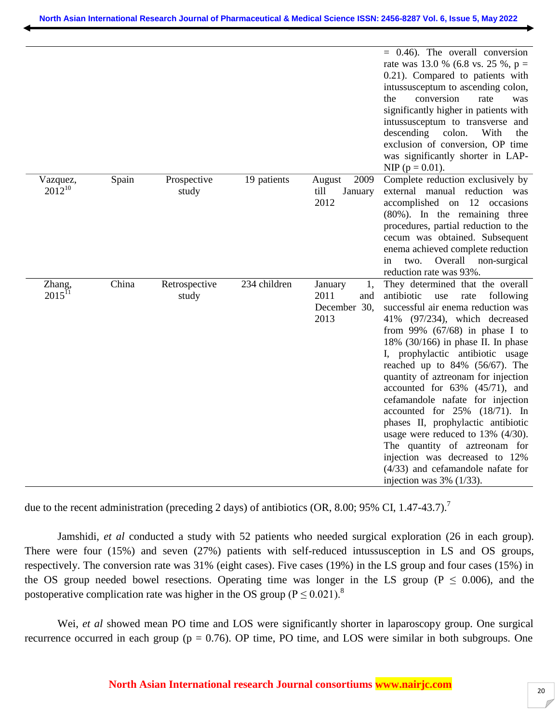|                         |       |                        |              |                                                      | $= 0.46$ ). The overall conversion<br>rate was 13.0 % (6.8 vs. 25 %, $p =$<br>0.21). Compared to patients with<br>intussusceptum to ascending colon,<br>conversion<br>the<br>rate<br>was<br>significantly higher in patients with<br>intussusceptum to transverse and<br>descending<br>colon.<br>With<br>the<br>exclusion of conversion, OP time<br>was significantly shorter in LAP-<br>NIP ( $p = 0.01$ ).                                                                                                                                                                                                                                                                               |
|-------------------------|-------|------------------------|--------------|------------------------------------------------------|--------------------------------------------------------------------------------------------------------------------------------------------------------------------------------------------------------------------------------------------------------------------------------------------------------------------------------------------------------------------------------------------------------------------------------------------------------------------------------------------------------------------------------------------------------------------------------------------------------------------------------------------------------------------------------------------|
| Vazquez,<br>$2012^{10}$ | Spain | Prospective<br>study   | 19 patients  | 2009<br>August<br>till<br>January<br>2012            | Complete reduction exclusively by<br>external manual reduction was<br>accomplished on 12 occasions<br>$(80\%)$ . In the remaining three<br>procedures, partial reduction to the<br>cecum was obtained. Subsequent<br>enema achieved complete reduction<br>Overall<br>two.<br>non-surgical<br>in<br>reduction rate was 93%.                                                                                                                                                                                                                                                                                                                                                                 |
| Zhang,<br>$2015^{11}$   | China | Retrospective<br>study | 234 children | January<br>1,<br>2011<br>and<br>December 30.<br>2013 | They determined that the overall<br>antibiotic<br>use<br>rate<br>following<br>successful air enema reduction was<br>$(97/234)$ , which decreased<br>41%<br>from 99% $(67/68)$ in phase I to<br>18% $(30/166)$ in phase II. In phase<br>I, prophylactic antibiotic usage<br>reached up to $84\%$ (56/67). The<br>quantity of aztreonam for injection<br>accounted for $63\%$ $(45/71)$ , and<br>cefamandole nafate for injection<br>accounted for $25\%$ (18/71). In<br>phases II, prophylactic antibiotic<br>usage were reduced to $13\%$ (4/30).<br>The quantity of aztreonam for<br>injection was decreased to 12%<br>$(4/33)$ and cefamandole nafate for<br>injection was $3\%$ (1/33). |

due to the recent administration (preceding 2 days) of antibiotics (OR, 8.00; 95% CI, 1.47-43.7).<sup>7</sup>

Jamshidi, *et al* conducted a study with 52 patients who needed surgical exploration (26 in each group). There were four (15%) and seven (27%) patients with self-reduced intussusception in LS and OS groups, respectively. The conversion rate was 31% (eight cases). Five cases (19%) in the LS group and four cases (15%) in the OS group needed bowel resections. Operating time was longer in the LS group ( $P \le 0.006$ ), and the postoperative complication rate was higher in the OS group ( $P \le 0.021$ ).<sup>8</sup>

Wei, *et al* showed mean PO time and LOS were significantly shorter in laparoscopy group. One surgical recurrence occurred in each group ( $p = 0.76$ ). OP time, PO time, and LOS were similar in both subgroups. One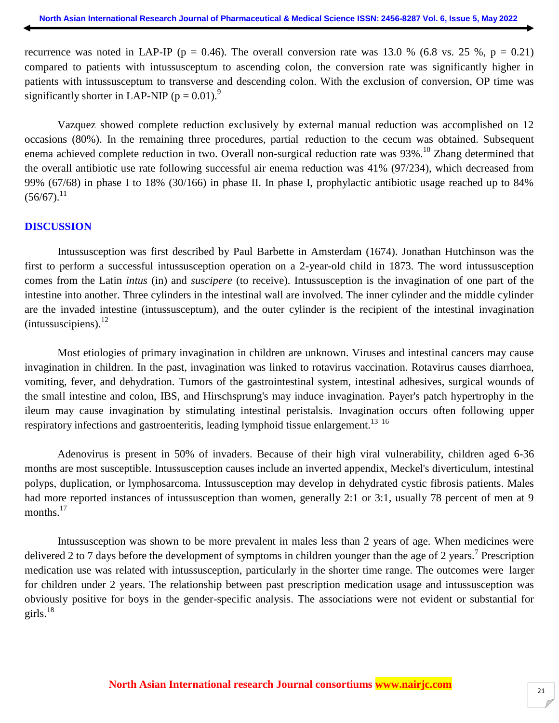recurrence was noted in LAP-IP ( $p = 0.46$ ). The overall conversion rate was 13.0 % (6.8 vs. 25 %,  $p = 0.21$ ) compared to patients with intussusceptum to ascending colon, the conversion rate was significantly higher in patients with intussusceptum to transverse and descending colon. With the exclusion of conversion, OP time was significantly shorter in LAP-NIP ( $p = 0.01$ ).<sup>9</sup>

Vazquez showed complete reduction exclusively by external manual reduction was accomplished on 12 occasions (80%). In the remaining three procedures, partial reduction to the cecum was obtained. Subsequent enema achieved complete reduction in two. Overall non-surgical reduction rate was 93%.<sup>10</sup> Zhang determined that the overall antibiotic use rate following successful air enema reduction was 41% (97/234), which decreased from 99% (67/68) in phase I to 18% (30/166) in phase II. In phase I, prophylactic antibiotic usage reached up to 84%  $(56/67)$ <sup>11</sup>

#### **DISCUSSION**

Intussusception was first described by Paul Barbette in Amsterdam (1674). Jonathan Hutchinson was the first to perform a successful intussusception operation on a 2-year-old child in 1873. The word intussusception comes from the Latin *intus* (in) and *suscipere* (to receive). Intussusception is the invagination of one part of the intestine into another. Three cylinders in the intestinal wall are involved. The inner cylinder and the middle cylinder are the invaded intestine (intussusceptum), and the outer cylinder is the recipient of the intestinal invagination  $(intussuscipiens).<sup>12</sup>$ 

Most etiologies of primary invagination in children are unknown. Viruses and intestinal cancers may cause invagination in children. In the past, invagination was linked to rotavirus vaccination. Rotavirus causes diarrhoea, vomiting, fever, and dehydration. Tumors of the gastrointestinal system, intestinal adhesives, surgical wounds of the small intestine and colon, IBS, and Hirschsprung's may induce invagination. Payer's patch hypertrophy in the ileum may cause invagination by stimulating intestinal peristalsis. Invagination occurs often following upper respiratory infections and gastroenteritis, leading lymphoid tissue enlargement.<sup>13–16</sup>

Adenovirus is present in 50% of invaders. Because of their high viral vulnerability, children aged 6-36 months are most susceptible. Intussusception causes include an inverted appendix, Meckel's diverticulum, intestinal polyps, duplication, or lymphosarcoma. Intussusception may develop in dehydrated cystic fibrosis patients. Males had more reported instances of intussusception than women, generally 2:1 or 3:1, usually 78 percent of men at 9 months.<sup>17</sup>

Intussusception was shown to be more prevalent in males less than 2 years of age. When medicines were delivered 2 to 7 days before the development of symptoms in children younger than the age of 2 years.<sup>7</sup> Prescription medication use was related with intussusception, particularly in the shorter time range. The outcomes were larger for children under 2 years. The relationship between past prescription medication usage and intussusception was obviously positive for boys in the gender-specific analysis. The associations were not evident or substantial for girls. $^{18}$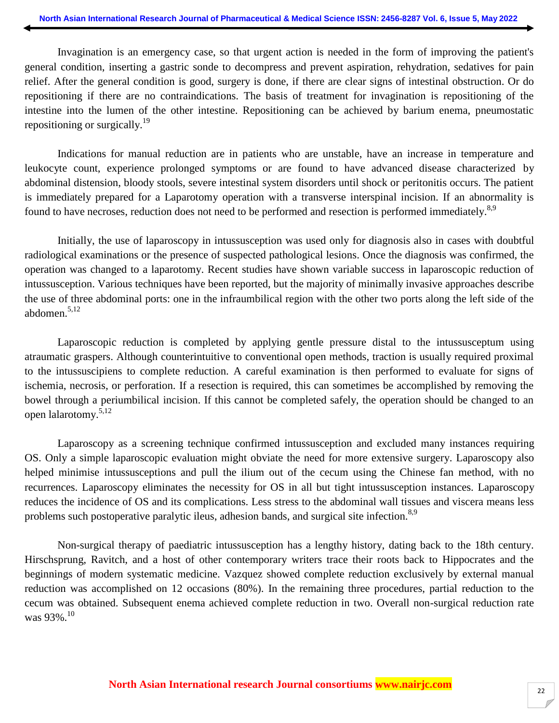Invagination is an emergency case, so that urgent action is needed in the form of improving the patient's general condition, inserting a gastric sonde to decompress and prevent aspiration, rehydration, sedatives for pain relief. After the general condition is good, surgery is done, if there are clear signs of intestinal obstruction. Or do repositioning if there are no contraindications. The basis of treatment for invagination is repositioning of the intestine into the lumen of the other intestine. Repositioning can be achieved by barium enema, pneumostatic repositioning or surgically.<sup>19</sup>

Indications for manual reduction are in patients who are unstable, have an increase in temperature and leukocyte count, experience prolonged symptoms or are found to have advanced disease characterized by abdominal distension, bloody stools, severe intestinal system disorders until shock or peritonitis occurs. The patient is immediately prepared for a Laparotomy operation with a transverse interspinal incision. If an abnormality is found to have necroses, reduction does not need to be performed and resection is performed immediately.<sup>8,9</sup>

Initially, the use of laparoscopy in intussusception was used only for diagnosis also in cases with doubtful radiological examinations or the presence of suspected pathological lesions. Once the diagnosis was confirmed, the operation was changed to a laparotomy. Recent studies have shown variable success in laparoscopic reduction of intussusception. Various techniques have been reported, but the majority of minimally invasive approaches describe the use of three abdominal ports: one in the infraumbilical region with the other two ports along the left side of the abdomen.5,12

Laparoscopic reduction is completed by applying gentle pressure distal to the intussusceptum using atraumatic graspers. Although counterintuitive to conventional open methods, traction is usually required proximal to the intussuscipiens to complete reduction. A careful examination is then performed to evaluate for signs of ischemia, necrosis, or perforation. If a resection is required, this can sometimes be accomplished by removing the bowel through a periumbilical incision. If this cannot be completed safely, the operation should be changed to an open lalarotomy.5,12

Laparoscopy as a screening technique confirmed intussusception and excluded many instances requiring OS. Only a simple laparoscopic evaluation might obviate the need for more extensive surgery. Laparoscopy also helped minimise intussusceptions and pull the ilium out of the cecum using the Chinese fan method, with no recurrences. Laparoscopy eliminates the necessity for OS in all but tight intussusception instances. Laparoscopy reduces the incidence of OS and its complications. Less stress to the abdominal wall tissues and viscera means less problems such postoperative paralytic ileus, adhesion bands, and surgical site infection.<sup>8,9</sup>

Non-surgical therapy of paediatric intussusception has a lengthy history, dating back to the 18th century. Hirschsprung, Ravitch, and a host of other contemporary writers trace their roots back to Hippocrates and the beginnings of modern systematic medicine. Vazquez showed complete reduction exclusively by external manual reduction was accomplished on 12 occasions (80%). In the remaining three procedures, partial reduction to the cecum was obtained. Subsequent enema achieved complete reduction in two. Overall non-surgical reduction rate was 93%.<sup>10</sup>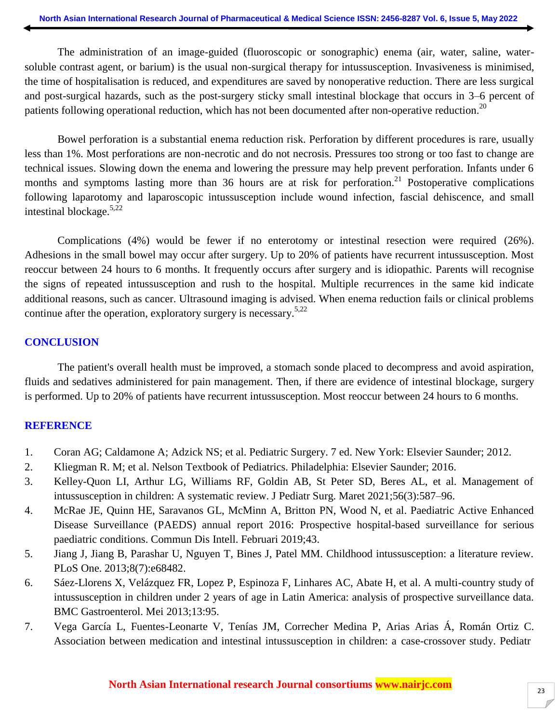The administration of an image-guided (fluoroscopic or sonographic) enema (air, water, saline, watersoluble contrast agent, or barium) is the usual non-surgical therapy for intussusception. Invasiveness is minimised, the time of hospitalisation is reduced, and expenditures are saved by nonoperative reduction. There are less surgical and post-surgical hazards, such as the post-surgery sticky small intestinal blockage that occurs in 3–6 percent of patients following operational reduction, which has not been documented after non-operative reduction.<sup>20</sup>

Bowel perforation is a substantial enema reduction risk. Perforation by different procedures is rare, usually less than 1%. Most perforations are non-necrotic and do not necrosis. Pressures too strong or too fast to change are technical issues. Slowing down the enema and lowering the pressure may help prevent perforation. Infants under 6 months and symptoms lasting more than 36 hours are at risk for perforation.<sup>21</sup> Postoperative complications following laparotomy and laparoscopic intussusception include wound infection, fascial dehiscence, and small intestinal blockage.5,22

Complications (4%) would be fewer if no enterotomy or intestinal resection were required (26%). Adhesions in the small bowel may occur after surgery. Up to 20% of patients have recurrent intussusception. Most reoccur between 24 hours to 6 months. It frequently occurs after surgery and is idiopathic. Parents will recognise the signs of repeated intussusception and rush to the hospital. Multiple recurrences in the same kid indicate additional reasons, such as cancer. Ultrasound imaging is advised. When enema reduction fails or clinical problems continue after the operation, exploratory surgery is necessary.<sup>5,22</sup>

### **CONCLUSION**

The patient's overall health must be improved, a stomach sonde placed to decompress and avoid aspiration, fluids and sedatives administered for pain management. Then, if there are evidence of intestinal blockage, surgery is performed. Up to 20% of patients have recurrent intussusception. Most reoccur between 24 hours to 6 months.

## **REFERENCE**

- 1. Coran AG; Caldamone A; Adzick NS; et al. Pediatric Surgery. 7 ed. New York: Elsevier Saunder; 2012.
- 2. Kliegman R. M; et al. Nelson Textbook of Pediatrics. Philadelphia: Elsevier Saunder; 2016.
- 3. Kelley-Quon LI, Arthur LG, Williams RF, Goldin AB, St Peter SD, Beres AL, et al. Management of intussusception in children: A systematic review. J Pediatr Surg. Maret 2021;56(3):587–96.
- 4. McRae JE, Quinn HE, Saravanos GL, McMinn A, Britton PN, Wood N, et al. Paediatric Active Enhanced Disease Surveillance (PAEDS) annual report 2016: Prospective hospital-based surveillance for serious paediatric conditions. Commun Dis Intell. Februari 2019;43.
- 5. Jiang J, Jiang B, Parashar U, Nguyen T, Bines J, Patel MM. Childhood intussusception: a literature review. PLoS One. 2013;8(7):e68482.
- 6. Sáez-Llorens X, Velázquez FR, Lopez P, Espinoza F, Linhares AC, Abate H, et al. A multi-country study of intussusception in children under 2 years of age in Latin America: analysis of prospective surveillance data. BMC Gastroenterol. Mei 2013;13:95.
- 7. Vega García L, Fuentes-Leonarte V, Tenías JM, Correcher Medina P, Arias Arias Á, Román Ortiz C. Association between medication and intestinal intussusception in children: a case-crossover study. Pediatr